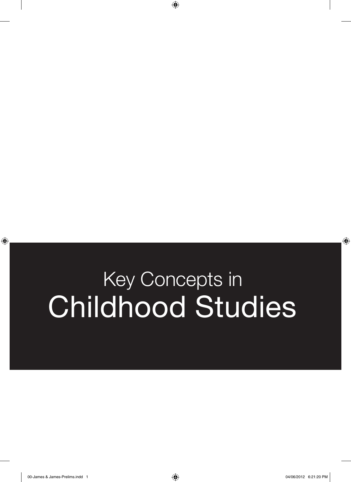## Key Concepts in Childhood Studies

 $\bigoplus$ 

 $\bigoplus$ 

 $\bigoplus$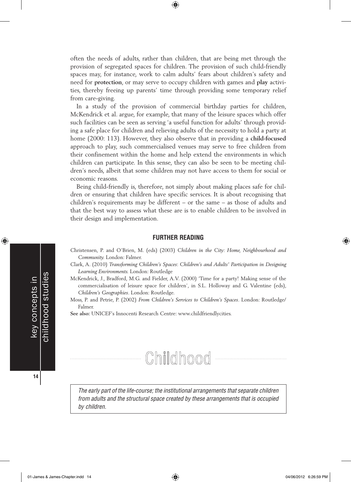often the needs of adults, rather than children, that are being met through the provision of segregated spaces for children. The provision of such child-friendly spaces may, for instance, work to calm adults' fears about children's safety and need for **protection**, or may serve to occupy children with games and **play** activities, thereby freeing up parents' time through providing some temporary relief from care-giving.

⊕

In a study of the provision of commercial birthday parties for children, McKendrick et al. argue, for example, that many of the leisure spaces which offer such facilities can be seen as serving 'a useful function for adults' through providing a safe place for children and relieving adults of the necessity to hold a party at home (2000: 113). However, they also observe that in providing a **child-focused**  approach to play, such commercialised venues may serve to free children from their confinement within the home and help extend the environments in which children can participate. In this sense, they can also be seen to be meeting children's needs, albeit that some children may not have access to them for social or economic reasons.

Being child-friendly is, therefore, not simply about making places safe for children or ensuring that children have specific services. It is about recognising that children's requirements may be different – or the same – as those of adults and that the best way to assess what these are is to enable children to be involved in their design and implementation.

## **FURTHER READING**

- Christensen, P. and O'Brien, M. (eds) (2003) *Children in the City: Home, Neighbourhood and Community.* London: Falmer.
- Clark, A. (2010) *Transforming Children's Spaces*: *Children's and Adults' Participation in Designing Learning Environments.* London: Routledge
- McKendrick, J., Bradford, M.G. and Fielder, A.V. (2000) 'Time for a party! Making sense of the commercialisation of leisure space for children', in S.L. Holloway and G. Valentine (eds), *Children's Geographies*. London: Routledge.
- Moss, P. and Petrie, P. (2002) *From Children's Services to Children's Spaces*. London: Routledge/ Falmer.

**See also:** UNICEF's Innocenti Research Centre: www.childfriendlycities.



*The early part of the life-course; the institutional arrangements that separate children from adults and the structural space created by these arrangements that is occupied by children.*

**14**

key concepts in childhood studies

childhood studies key concepts in

⊕

⊕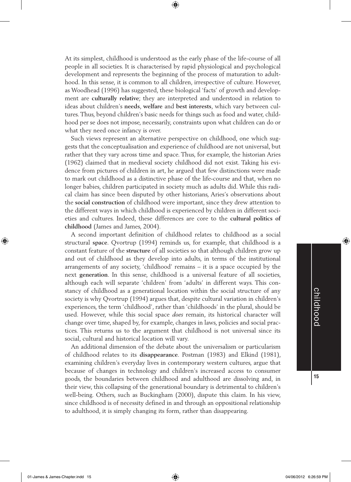At its simplest, childhood is understood as the early phase of the life-course of all people in all societies. It is characterised by rapid physiological and psychological development and represents the beginning of the process of maturation to adulthood. In this sense, it is common to all children, irrespective of culture. However, as Woodhead (1996) has suggested, these biological 'facts' of growth and development are **culturally relative**; they are interpreted and understood in relation to ideas about children's **needs**, **welfare** and **best interests**, which vary between cultures. Thus, beyond children's basic needs for things such as food and water, childhood per se does not impose, necessarily, constraints upon what children can do or what they need once infancy is over.

⊕

Such views represent an alternative perspective on childhood, one which suggests that the conceptualisation and experience of childhood are not universal, but rather that they vary across time and space. Thus, for example, the historian Aries (1962) claimed that in medieval society childhood did not exist. Taking his evidence from pictures of children in art, he argued that few distinctions were made to mark out childhood as a distinctive phase of the life-course and that, when no longer babies, children participated in society much as adults did. While this radical claim has since been disputed by other historians, Aries's observations about the **social construction** of childhood were important, since they drew attention to the different ways in which childhood is experienced by children in different societies and cultures. Indeed, these differences are core to the **cultural politics of childhood** (James and James, 2004).

A second important definition of childhood relates to childhood as a social structural **space**. Qvortrup (1994) reminds us, for example, that childhood is a constant feature of the **structure** of all societies so that although children grow up and out of childhood as they develop into adults, in terms of the institutional arrangements of any society, 'childhood' remains – it is a space occupied by the next **generation**. In this sense, childhood is a universal feature of all societies, although each will separate 'children' from 'adults' in different ways. This constancy of childhood as a generational location within the social structure of any society is why Qvortrup (1994) argues that, despite cultural variation in children's experiences, the term 'childhood', rather than 'childhoods' in the plural, should be used. However, while this social space *does* remain, its historical character will change over time, shaped by, for example, changes in laws, policies and social practices. This returns us to the argument that childhood is not universal since its social, cultural and historical location will vary.

An additional dimension of the debate about the universalism or particularism of childhood relates to its **disappearance**. Postman (1983) and Elkind (1981), examining children's everyday lives in contemporary western cultures, argue that because of changes in technology and children's increased access to consumer goods, the boundaries between childhood and adulthood are dissolving and, in their view, this collapsing of the generational boundary is detrimental to children's well-being. Others, such as Buckingham (2000), dispute this claim. In his view, since childhood is of necessity defined in and through an oppositional relationship to adulthood, it is simply changing its form, rather than disappearing.

♠

**15**

01-James & James-Chapter.indd 15 04/06/2012 6:26:59 PM

⊕